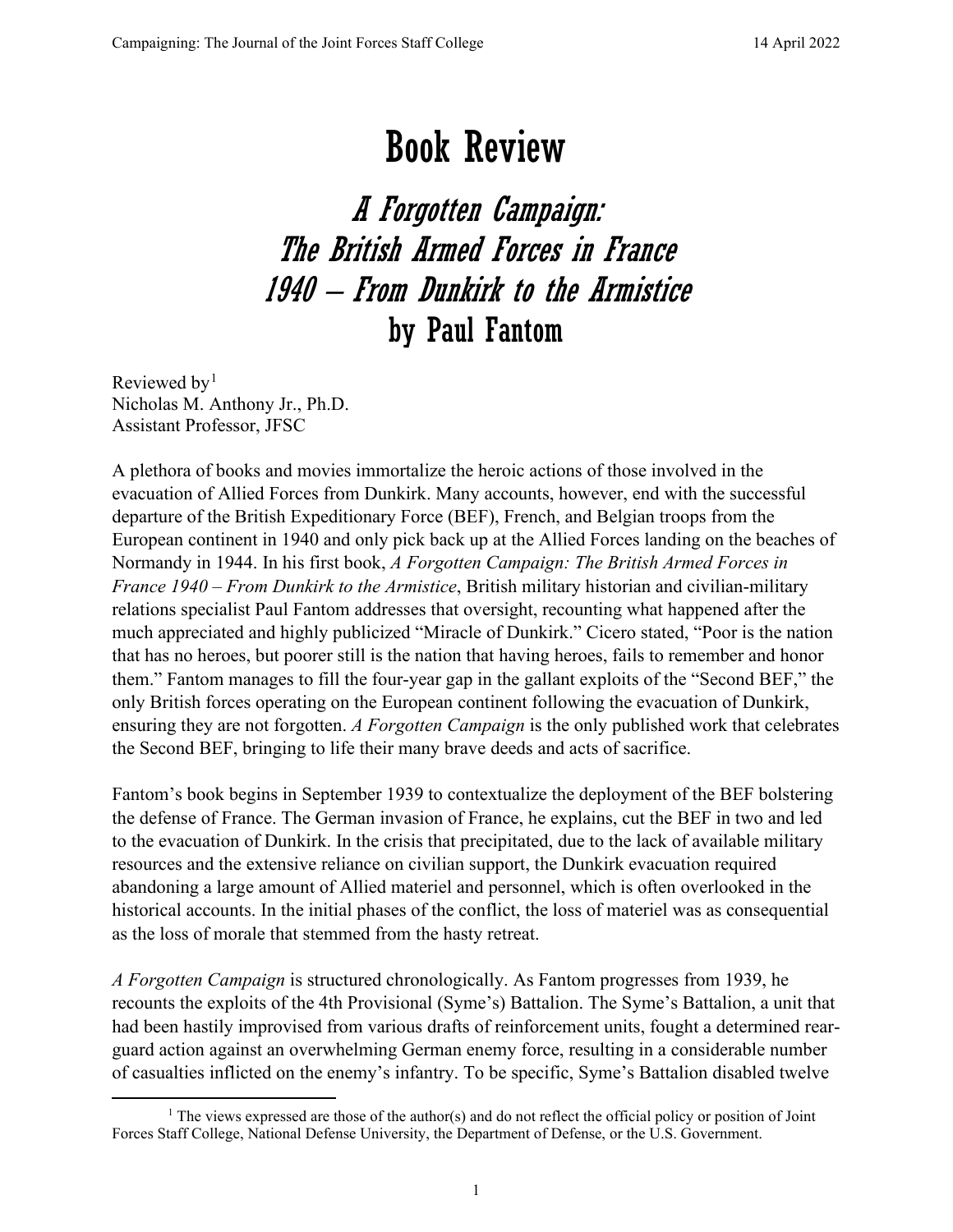## Book Review

A Forgotten Campaign: The British Armed Forces in France 1940 – From Dunkirk to the Armistice by Paul Fantom

Reviewed by<sup>[1](#page-0-0)</sup> Nicholas M. Anthony Jr., Ph.D. Assistant Professor, JFSC

A plethora of books and movies immortalize the heroic actions of those involved in the evacuation of Allied Forces from Dunkirk. Many accounts, however, end with the successful departure of the British Expeditionary Force (BEF), French, and Belgian troops from the European continent in 1940 and only pick back up at the Allied Forces landing on the beaches of Normandy in 1944. In his first book, *A Forgotten Campaign: The British Armed Forces in France 1940 – From Dunkirk to the Armistice*, British military historian and civilian-military relations specialist Paul Fantom addresses that oversight, recounting what happened after the much appreciated and highly publicized "Miracle of Dunkirk." Cicero stated, "Poor is the nation that has no heroes, but poorer still is the nation that having heroes, fails to remember and honor them." Fantom manages to fill the four-year gap in the gallant exploits of the "Second BEF," the only British forces operating on the European continent following the evacuation of Dunkirk, ensuring they are not forgotten. *A Forgotten Campaign* is the only published work that celebrates the Second BEF, bringing to life their many brave deeds and acts of sacrifice.

Fantom's book begins in September 1939 to contextualize the deployment of the BEF bolstering the defense of France. The German invasion of France, he explains, cut the BEF in two and led to the evacuation of Dunkirk. In the crisis that precipitated, due to the lack of available military resources and the extensive reliance on civilian support, the Dunkirk evacuation required abandoning a large amount of Allied materiel and personnel, which is often overlooked in the historical accounts. In the initial phases of the conflict, the loss of materiel was as consequential as the loss of morale that stemmed from the hasty retreat.

*A Forgotten Campaign* is structured chronologically. As Fantom progresses from 1939, he recounts the exploits of the 4th Provisional (Syme's) Battalion. The Syme's Battalion, a unit that had been hastily improvised from various drafts of reinforcement units, fought a determined rearguard action against an overwhelming German enemy force, resulting in a considerable number of casualties inflicted on the enemy's infantry. To be specific, Syme's Battalion disabled twelve

<span id="page-0-0"></span><sup>&</sup>lt;sup>1</sup> The views expressed are those of the author(s) and do not reflect the official policy or position of Joint Forces Staff College, National Defense University, the Department of Defense, or the U.S. Government.